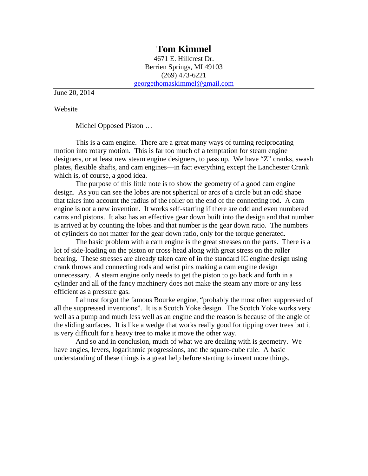## **Tom Kimmel**

4671 E. Hillcrest Dr. Berrien Springs, MI 49103 (269) 473-6221 georgethomaskimmel@gmail.com

June 20, 2014

Website

Michel Opposed Piston …

 This is a cam engine. There are a great many ways of turning reciprocating motion into rotary motion. This is far too much of a temptation for steam engine designers, or at least new steam engine designers, to pass up. We have "Z" cranks, swash plates, flexible shafts, and cam engines—in fact everything except the Lanchester Crank which is, of course, a good idea.

 The purpose of this little note is to show the geometry of a good cam engine design. As you can see the lobes are not spherical or arcs of a circle but an odd shape that takes into account the radius of the roller on the end of the connecting rod. A cam engine is not a new invention. It works self-starting if there are odd and even numbered cams and pistons. It also has an effective gear down built into the design and that number is arrived at by counting the lobes and that number is the gear down ratio. The numbers of cylinders do not matter for the gear down ratio, only for the torque generated.

 The basic problem with a cam engine is the great stresses on the parts. There is a lot of side-loading on the piston or cross-head along with great stress on the roller bearing. These stresses are already taken care of in the standard IC engine design using crank throws and connecting rods and wrist pins making a cam engine design unnecessary. A steam engine only needs to get the piston to go back and forth in a cylinder and all of the fancy machinery does not make the steam any more or any less efficient as a pressure gas.

 I almost forgot the famous Bourke engine, "probably the most often suppressed of all the suppressed inventions". It is a Scotch Yoke design. The Scotch Yoke works very well as a pump and much less well as an engine and the reason is because of the angle of the sliding surfaces. It is like a wedge that works really good for tipping over trees but it is very difficult for a heavy tree to make it move the other way.

 And so and in conclusion, much of what we are dealing with is geometry. We have angles, levers, logarithmic progressions, and the square-cube rule. A basic understanding of these things is a great help before starting to invent more things.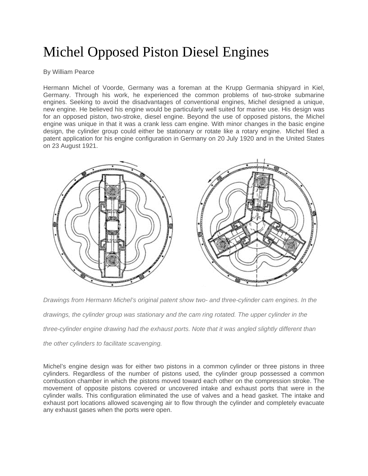## Michel Opposed Piston Diesel Engines

## By William Pearce

Hermann Michel of Voorde, Germany was a foreman at the Krupp Germania shipyard in Kiel, Germany. Through his work, he experienced the common problems of two-stroke submarine engines. Seeking to avoid the disadvantages of conventional engines, Michel designed a unique, new engine. He believed his engine would be particularly well suited for marine use. His design was for an opposed piston, two-stroke, diesel engine. Beyond the use of opposed pistons, the Michel engine was unique in that it was a crank less cam engine. With minor changes in the basic engine design, the cylinder group could either be stationary or rotate like a rotary engine. Michel filed a patent application for his engine configuration in Germany on 20 July 1920 and in the United States on 23 August 1921.



*Drawings from Hermann Michel's original patent show two- and three-cylinder cam engines. In the* 

*drawings, the cylinder group was stationary and the cam ring rotated. The upper cylinder in the* 

*three-cylinder engine drawing had the exhaust ports. Note that it was angled slightly different than* 

*the other cylinders to facilitate scavenging.* 

Michel's engine design was for either two pistons in a common cylinder or three pistons in three cylinders. Regardless of the number of pistons used, the cylinder group possessed a common combustion chamber in which the pistons moved toward each other on the compression stroke. The movement of opposite pistons covered or uncovered intake and exhaust ports that were in the cylinder walls. This configuration eliminated the use of valves and a head gasket. The intake and exhaust port locations allowed scavenging air to flow through the cylinder and completely evacuate any exhaust gases when the ports were open.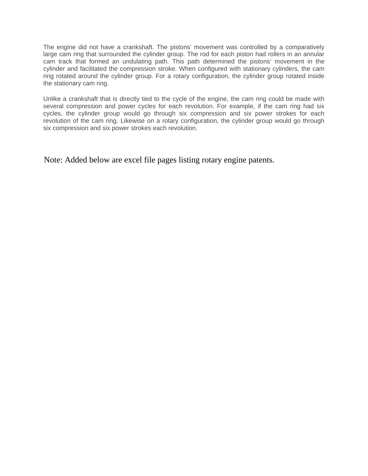The engine did not have a crankshaft. The pistons' movement was controlled by a comparatively large cam ring that surrounded the cylinder group. The rod for each piston had rollers in an annular cam track that formed an undulating path. This path determined the pistons' movement in the cylinder and facilitated the compression stroke. When configured with stationary cylinders, the cam ring rotated around the cylinder group. For a rotary configuration, the cylinder group rotated inside the stationary cam ring.

Unlike a crankshaft that is directly tied to the cycle of the engine, the cam ring could be made with several compression and power cycles for each revolution. For example, if the cam ring had six cycles, the cylinder group would go through six compression and six power strokes for each revolution of the cam ring. Likewise on a rotary configuration, the cylinder group would go through six compression and six power strokes each revolution.

Note: Added below are excel file pages listing rotary engine patents.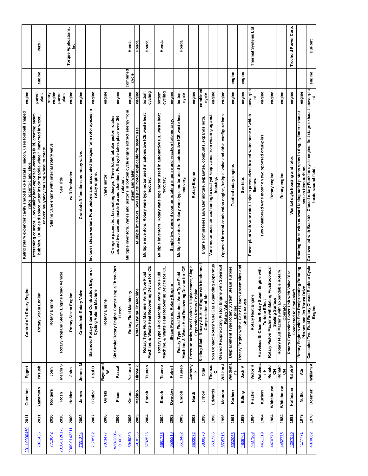| 2011-0000460       | 2011        | Guenther       | et<br>Egg                         | a Rotary Engine<br>Control of                                                                                | Katrix rotary expander cavity shaped like Pascals limacon, uses football shaped<br>rotor, eccentric and slide                                                                                                     | engine                              |                   |                                         |
|--------------------|-------------|----------------|-----------------------------------|--------------------------------------------------------------------------------------------------------------|-------------------------------------------------------------------------------------------------------------------------------------------------------------------------------------------------------------------|-------------------------------------|-------------------|-----------------------------------------|
| 7971436            | 2011        | Yamamoto       | Yasushi                           | Rotary Steam Engine                                                                                          | heat vaporizes working fluid, creating steam<br>Bubbles displace water inside "paddle wheel" immersed in water,<br>uneven bouyancy causing wheel to rotate.<br>Low quality<br>concept.<br>Interesting<br>bubbles. | power<br>plant                      | engine            | nzns                                    |
| 7713042            | 2010        | <b>Rodgers</b> | $\tilde{E}$<br>$\bar{\mathsf{s}}$ | Engine<br>Rotary                                                                                             | Sliding vane engine with internal rotary valve                                                                                                                                                                    | engine<br>rotary                    |                   |                                         |
| 2010-0126173       | 2010        | Rosh           | Melvin <sub>S</sub>               | Rotary Propane Steam Engine Road Vehicle                                                                     | See Title                                                                                                                                                                                                         | power<br>plant                      |                   |                                         |
| 2009-0142211       | 2009        | Holden         | $\tilde{a}$<br>$\bar{S}$          | Rotary Steam Engine                                                                                          | R Rehlander<br>₹                                                                                                                                                                                                  | engine                              |                   | <b>Torque Applications,</b><br><u>ی</u> |
| 7331324            | 2008        | James          | Jerome M                          | Crankshaft Rotary Valve                                                                                      | Crankshaft functions as rotary valve                                                                                                                                                                              | engine                              |                   |                                         |
| <u>7178502</u>     | 2007        | Okulov         | Paul D                            | <b>Balanced Rotary Internal Combustion Engine or</b><br><b>Cycling Volume Machine</b>                        | Includes steam variant. Four pistons and associated linkages form rotor apexes in<br>rotary engine                                                                                                                | engine                              |                   |                                         |
| <u>7073477</u>     | 2006        | Gorski         | Raymond<br>ξ                      | Rotary Engine                                                                                                | Vane motor                                                                                                                                                                                                        | engine                              |                   |                                         |
| WO-2006-<br>016019 | 2006        | Pham           | Pascal                            | Six Stroke Rotary Engine Comprising a Three-Part<br>Piston                                                   | ed chamber. Full cycle takes place over 2/6<br>IC engine patent but fascinating design. Three lobed tubular piston rotates<br>rotation<br>around two centers inside 6 arc                                         | engine                              |                   |                                         |
| 6945050            | 2005        | Kimura         | Yasunari                          | Rotary Fluid Machinery                                                                                       | Multiple inventors. Vanes and pistons in bottom cycle engine extract energy from<br>am and water<br>ste                                                                                                           | engine                              | combined<br>cycle | Honda                                   |
| 6918336            | <b>2005</b> | <b>Makino</b>  | <u>Hiroyuki</u>                   | Rotary Hydraulic Machine                                                                                     | plate motor applicable for steam use<br>Multiple inventors. Swash                                                                                                                                                 | engine                              |                   | Honda                                   |
| 6732525            | 2004        | Endoh          | Tsuneo                            | Machine, & Waste Heat Recovering Device for ICE<br>Rotary Type Fluid Machine, Vane Type Fluid                | Multiple inventors. Rotary vane type motor used in automotive ICE waste heat<br>recovery.                                                                                                                         | bottom<br>cycling                   |                   | Honda                                   |
| 6681738            | 2004        | Endoh          | Tsuneo                            | Machine, & Waste Heat Recovering Device for ICE<br>Rotary Type Fluid Machine, Vane Type Fluid                | Multiple inventors. Rotary vane type motor used in automotive ICE waste heat<br>recovery                                                                                                                          | bottom<br>cycling                   |                   | Honda                                   |
| 0189999            | 2003        | <b>Davidow</b> | Robert                            | <b>Steam Powered Rotary Engine</b>                                                                           | Simple two element counter rotating impulse and reaction turbine assy.                                                                                                                                            | engine                              |                   |                                         |
| 6513482            | 2003        | Endoh          | Tsuneo                            | Machine, & Waste Heat Recovering Device for ICE<br>Rotary Type Fluid Machine, Vane Type Fluid                | Multiple inventors. Rotary vane type motor used in automotive ICE waste heat<br>recovery                                                                                                                          | bottom<br>cycle                     |                   | Honda                                   |
| 6503072            | 2003        | Nardi          | Anthony<br>$\mathbf{r}$           | Pressure Articulated Positive Displacement, Single                                                           | otary Engine<br>œ                                                                                                                                                                                                 | engine                              |                   |                                         |
| 5839270            | 1998        | Jirnov         | Olga                              | Expansion Rotary Engine<br>Sliding-Blade Rotary Air-Heat Engine with Isothermal<br><b>Compression of Air</b> | Engine compresses air/water mixture, separates, combusts, expands both.                                                                                                                                           | combined<br>cycle                   |                   |                                         |
| 5501586            | 1996        | Edwards        | Thomas<br>ပု                      | Non Contact Rotary Vane Gas Expanding Apparatus                                                              | to seal yet keep vanes from wearing against<br>housing<br>Vane motor uses air cushioning                                                                                                                          | engine                              |                   |                                         |
| 5535715            | 1996        | Mouton         | William J                         | Geared Reciprocating Piston Engine with Spherical<br><b>Rotary Valve</b>                                     | Opposed internal combustion engine, 'unique' valve and drive configurations.                                                                                                                                      | engine                              |                   |                                         |
| 5032068            | 1991        | Kurherr        | <b>Waldema</b><br><b>x</b><br>Ξ   | Displacement Type Rotary System Steam Turbine<br>Engine                                                      | Toothed rotary engine                                                                                                                                                                                             | engine                              | engine            |                                         |
| 4836761            | 1989        | Edling         | <b>Jack V</b>                     | Rotary Engine with a Pair of Piston Assemblies and<br><b>Shuttle Valves</b>                                  | See title                                                                                                                                                                                                         | engine                              | engine            |                                         |
| 4437308            | 1984        | Fischer        | Victor H                          | Rotary Heat Engine                                                                                           | cts pressurized heated water some of which<br>flashes<br>Power plant with vane rotor, inje-                                                                                                                       | powerpla<br>Ë                       |                   | Ltd<br><b>Thermal Systems</b>           |
| 4451219            | 1984        | Kurherr        | Waldema<br>Ŧ<br>$\overline{r}$    | Valveless Bi-Chamber Rotary Steam Engine with<br><b>Turbine Effect</b>                                       | motor on two opposed crankpins<br>Two chambered vane                                                                                                                                                              | engine                              |                   |                                         |
| 4470779            | 1984        | Whitehouse     | Ronald<br>$\mathbf{z}$            | Rotary Piston Machine withMating Frustroconical<br><b>Sealing Surface</b>                                    | otary engine<br>≃                                                                                                                                                                                                 | engine                              |                   |                                         |
| 4462775            | 1984        | Whitehouse     | Ronald<br>$\overline{5}$          | Rotary Fluid Machine with Expandable Rotary<br>Oburator                                                      | otary engine<br>œ                                                                                                                                                                                                 | engine                              |                   |                                         |
| 4297090            | 1981        | Hoffmann       | Ralph M                           | Rotary Expansion Power Unit with Valve Disc<br><b>Connected to Crankshaft</b>                                | Wankel style housing and rotor                                                                                                                                                                                    | engine                              |                   | Trochoid Power Corp.                    |
| 417771             | 1979        | Nutku          | Ata                               | Rotary Engines with Free Reciprocating-Rotating                                                              | Rotating block with outward facing radial pistons spins in ring, cylinder exhaust<br>as Hero turbine<br>acts                                                                                                      | engine                              |                   |                                         |
| 4070862            | 1978        | Doerner        | William A                         | Pistons and Jet Thrust Drive<br>Cascaded Two-Fluid Rotary Closed Rankine Cycle<br>Engine                     | Closed rotary Rankine cycle engine, first stage exhaust<br>heats second fluid.<br>Co-invented with Buskirk.                                                                                                       | powerpla<br>$\overline{\mathbf{r}}$ | engine            | DuPont                                  |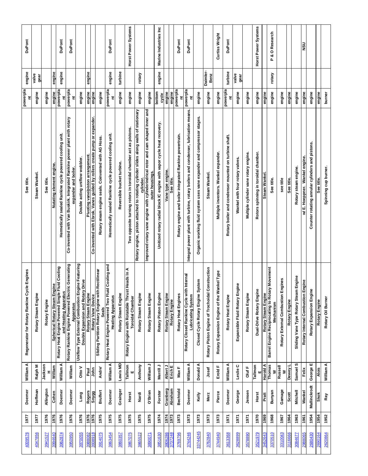| 1977<br>4009576  | Doerner             | William A                                             | Regenerator for Rotary Rankine Cycle Engines                                                     | See title                                                                                           | powerpla<br>Ĕ                       | engine                  | DuPont                 |
|------------------|---------------------|-------------------------------------------------------|--------------------------------------------------------------------------------------------------|-----------------------------------------------------------------------------------------------------|-------------------------------------|-------------------------|------------------------|
| 1977<br>4047856  | Hoffman             | Ralph M                                               | Rotary Steam Engine                                                                              | Steam Wankel.                                                                                       | engine                              | valve<br>gear           |                        |
| 1976             | Allington           | Jackson<br>I                                          | Rotary Engine                                                                                    | See title                                                                                           | engine                              |                         |                        |
| 1976             | Cohen               | William                                               | Spherical Rotary Steam Engine                                                                    | Nutating element engine                                                                             | engine                              | engine                  |                        |
| 1976             | Doerner             | William A                                             | Rotary Heat Engine Powered Single Fluid Cooling                                                  | Rankine cycle powered cooling unit.<br>Hermetically sealed                                          | powerpla<br>Ĕ                       | engine                  | <b>DuPont</b>          |
| 1976<br>3950950  | Doerner             | William                                               | and Heating Apparatus<br>Rotary Rankine Engine Powered Electric Generating<br><b>Apparatus</b>   | Co-invented with Van Buskirk. Integrated Rankine power plant with rotary<br>expander and boiler.    | powerpla<br>Ĕ                       |                         | DuPont                 |
| 1976             | Long                | Otto V                                                | Type External Combustion Engine Featuring<br>Double Expansion and Rotary Drive<br>Uniflow        | acting uniflow wobbler.<br><b>Double</b>                                                            | engine                              |                         |                        |
| 1976             | <b>Rogers</b>       | <b>Paul</b>                                           | Rotary Steam Engine                                                                              | Pivoting vane/piston arrangement.                                                                   | engine                              | engine                  |                        |
|                  | Snygg               | John                                                  | <b>Sliding Partition Rotary Vane Device<br/>Sliding Partition Rotary Engine with Rectilinear</b> | Co-invented with Ebrok. Vanes guided by rollers create pump or expander.                            | engine                              |                         |                        |
| 1975             | <b>Bruifert</b>     | Andre'                                                | Seals                                                                                            | Rotary steam engine seals. Coinvented with AG Hoss                                                  | engine                              |                         |                        |
| 1975             | Doerner             | William A                                             | Rotary Heat Engine Powered Two Fluid Cooling and<br><b>Heating Apparatus</b>                     | Rankine cycle powered cooling unit.<br>Hermetically sealed                                          | powerpla<br>Ĕ                       | engine                  | DuPont                 |
| 1975<br>3860357  | Grainger            | Lewis MD                                              | Rotary Steam Engine                                                                              | Reversible bucket turbine                                                                           | engine                              | turbine                 |                        |
| 1975<br>3867075  | Horst               | Tallmon<br>Ш                                          | ⋖<br>Rotary Engine with Rotatable Thrust Heads In<br><b>Toroidal Chamber</b>                     | Two opposite turning rotors in toroidal chamber act as pistons                                      | engine                              |                         | Horst Power Systems    |
| 1975<br>3865522  | Nardi               | Anthony                                               | Rotary Steam Engine                                                                              | Rotary engine, piston attached to rotating cylinder slides along walls of stationary<br>cylinder    | engine                              | rotary                  |                        |
| 1975<br>3890071  | O'Brien             | William J                                             | Rotary Steam Engine                                                                              | Improved rotary vane engine with cylinderindrical rotor and cam shaped inner and<br>outer housings. | engine                              |                         |                        |
| 1974<br>3851630  | Forster             | Merrill J                                             | Rotary Piston Engine                                                                             | Unitized rotary radial block IC engine with vapor cycle heat recovery                               | bottom<br>cycle                     | engine                  | Marine Industries Inc  |
| 1974             | Granberg<br>Abraham | Albert J<br>Erich E                                   | <b>Rotary Steam Engine</b>                                                                       | /ane type engine.                                                                                   | engine                              |                         |                        |
| 1973<br>3769796  | <b>Bechtold</b>     | Max $F$                                               | Rotary Heat Engines<br>Rotary Engine                                                             | Rotary engine and boiler integrated Rankine powertrain.<br>See title                                | eldJəwod<br>engine                  |                         | DuPont                 |
| 1973<br>3744246  | Doerner             | William A                                             | Rotary Closed Rankine Cycle with Internal                                                        | rotary boilers and condenser, lubrication means.<br>Integral power plant with turbine               | powerpla<br>Ĕ                       |                         | <b>DuPont</b>          |
| 1973<br>33744245 | Kelly               | ⋖<br><b>Donald</b>                                    | Closed Cycle Rotary Engine System<br>Lubricating System                                          | stages.<br>uses vane expander and compressor<br>Organic working fluid system                        | engine<br>Ë                         |                         |                        |
| 1973             | Merz                | Josef<br>э.                                           | Rotary Piston Engine of Trochoidal Construction                                                  | <b>Steam Wankel</b>                                                                                 | engine                              | Daimler-<br><b>Benz</b> |                        |
| 1973<br>3744940  | Pierce              | rold $F$<br>画                                         | Rotary Expansion Engine of the Wankel Type                                                       | ventors. Wankel expander.<br>Multiple in                                                            | engine                              |                         | <b>Curtiss Wright</b>  |
| 1971<br>3613368  | Doerner             | William A                                             | Rotary Heat Engine                                                                               | Rotary boiler and condenser mounted on turbine shaft.                                               | powerpla<br>$\overline{\mathbf{c}}$ | turbine                 | <b>DuPont</b>          |
| 1971<br>3628899  | George              | <b>Leslie C</b>                                       | Expansible Fluid Rotary Engine                                                                   | with four rotary valves<br>Wankel                                                                   | engine                              | valve<br>gear           |                        |
| 1971<br>3578890  | Jensen              | Oluf F                                                | Rotary Steam Engine                                                                              | Multiple cylinder vane rotary engine.                                                               | engine                              |                         |                        |
| 1970<br>3521979  | Horst               | Tallmon                                               | Dual-Drive Rotary Engine                                                                         | spinning in toroidal chamber.<br><b>Rotors</b>                                                      | engine                              |                         | Systems<br>Horst Power |
| 1969<br>3452643  | Pratt               | <b>Harold A</b><br><b>Harold A</b><br><b>Harold A</b> | Rotary Steam Engine                                                                              | <b>Steam Wankel.</b>                                                                                | engine                              |                         |                        |
| 1968<br>3370510  | Bunyan              | $\geq$                                                | <b>Barrel Engine Reciprocating to Rotary Movement</b><br><b>Mechanism</b>                        | See title                                                                                           | engine                              | rotary                  | O Research<br>න්<br>Δ. |
| 1967<br>3310043  | Gamage              | Russell<br>$\geq$                                     | Rotary External Combustion Engines                                                               | see title                                                                                           | engine                              |                         |                        |
| 1964<br>3116666  | Scott               | Dewey L                                               | <b>Rotary Engine</b>                                                                             | See title                                                                                           | engine                              |                         |                        |
| 1963<br>3084677  | <b>Mitchell</b>     | Samuel <sub>S</sub>                                   | Sliding Vane Type Rotary Steam Engine                                                            | Rotary steam engine                                                                                 | engine                              |                         |                        |
| 1961             | Wankel              | Felix                                                 | Rotary Internal Combustion Engine                                                                | w/ E. Hoeppner. Wankel engine                                                                       | engine                              |                         | <b>NSU</b>             |
| 1954<br>2680430  | Mallinckrodt        | ш<br>orge<br>ဗီ                                       | Rotary Expansion Engine                                                                          | Counter rotating annular cylinders and pistons.                                                     | engine                              |                         |                        |
| 1954<br>2690164  | <b>Skok</b>         | <b>Alois</b>                                          | Rotary Engine                                                                                    | See title                                                                                           | engine                              |                         |                        |
| 1952<br>2620864  | Ray                 | William A                                             | Rotary Oil Burner                                                                                | Spinning cup burner.                                                                                | burner                              |                         |                        |
|                  |                     |                                                       |                                                                                                  |                                                                                                     |                                     |                         |                        |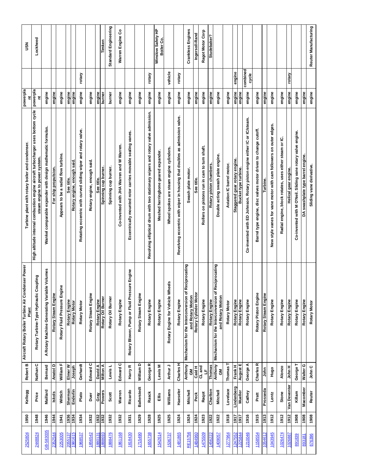| 2525804             | 1950         | Kellogg                      | Robert B                                                                                                  | Aircraft Rotary Boiler Turbine Air Condenser Power<br>Plant             | rotary boiler and condenser.<br>Turbine plant with                                                                | powerpla<br>Ĕ    |                   | <b>NSD</b>                     |
|---------------------|--------------|------------------------------|-----------------------------------------------------------------------------------------------------------|-------------------------------------------------------------------------|-------------------------------------------------------------------------------------------------------------------|------------------|-------------------|--------------------------------|
| 2448824             | 1948         | Price                        | Nathan C                                                                                                  | Rotary Turbine-Type Hydraulic Coupling                                  | High altitude internal combustion engine aircraft turbocharger uses bottom cycle<br>steam engine to power system. | powerpla<br>Ĕ    |                   | Lockheed                       |
| GB-583035           | 1946         | Maillard                     | <b>Bernard</b>                                                                                            | Rotary Machine Generating Variable Volumes<br>⋖                         | Wankel comparable expander with design mathematic formulas                                                        | engine           |                   |                                |
| 2352544             | 1944         | <b>Iskols</b>                | Anatol D                                                                                                  | Rotary Steam Engine                                                     | For ship propulsion.                                                                                              | engine           |                   |                                |
| 2253005             | 1941         | Wittich                      | William F                                                                                                 | Rotary Fluid Pressure Engine                                            | Appears to be a radial flow turbine                                                                               | engine           |                   |                                |
| 2055137             | 1936         | <b>Sherman</b>               | Elmer <sub>W</sub>                                                                                        | Rotary Engine                                                           | See title.                                                                                                        | engine           |                   |                                |
| 1981615             | 1934         | Enderlin                     | Joseph                                                                                                    | Rotary Motor                                                            | Rotary engine, enough said                                                                                        | engine           |                   |                                |
| 1968537             | 1934         | Plato                        | Gerhardt                                                                                                  | Rotary Motor                                                            | Rotating eccentric with curved sliding wiper and rotary valve                                                     | engine           | rotary            |                                |
| 1856542             | 1932         | Duer                         | Edward C                                                                                                  | Rotary Steam Engine                                                     | ngine, enough said.<br>Rotary e                                                                                   | engine           |                   |                                |
| <u>1880131</u>      |              | Gray                         |                                                                                                           |                                                                         | See title                                                                                                         | engine           |                   |                                |
| 1888693             | 1932<br>1932 | Powers                       | David A<br>Milton A                                                                                       | Rotary Engine<br>Rotary Oil Burner                                      | Spinning cup burner.                                                                                              | burner           |                   | Timken                         |
| 1888476             | 1932         | Scott                        | ب<br>م<br>Lew                                                                                             | Rotary Oil Burner                                                       | Spinning cup burner.                                                                                              | burner           |                   | Standard Engineering           |
| 1861168             | 1932         | Warren                       | Edward C                                                                                                  | Rotary Engine                                                           | JHA Warren and W Warren<br>Co-invented with                                                                       | engine           |                   | ပိ<br>Warren Engine            |
| 1818430             | 1931         | Ricardo                      | Harry R                                                                                                   | Rotary Blower, Pump or Fluid Pressure Engine                            | Eccentrically mounted rotor carries movable sealing vanes.                                                        | engine           |                   |                                |
| 1715490             | 1929         | <b>Ballerstedt</b>           | William D                                                                                                 | Rotary Steam Engine                                                     |                                                                                                                   | engine           |                   |                                |
| 1655738             | 1928         | Rasck                        | George R                                                                                                  | Rotary Engine                                                           | stationary wipers and rotary valve admission.<br>Revolving elliptical drum with two                               | engine           | rotary            |                                |
| 1542614             | 1925         | Ellis                        | $\overline{\mathbf{s}}$<br>Lewi                                                                           | Engine<br>Rotary                                                        | expander.<br>Meshed herringbone geared                                                                            | engine           |                   | Winslow Safety HP<br>Boiler Co |
| <u>1536737</u>      | 1925         | Williams                     | Arthur J                                                                                                  | Rotary Engine for Vehicle Wheels                                        | re steam engine cylinders<br>Wheel spokes                                                                         | engine           | vehicle           |                                |
| 1481865             | 1924         | Haeseler                     | Charles H                                                                                                 | Rotary Engine                                                           | Revolving eccentric with wiper in housing that doubles as admission valve.                                        | engine           | rotary            |                                |
| <b>RE15756</b>      | 1924         | <b>Mitchell</b>              | <b>Anthony</b>                                                                                            | Mechanism for the Interconversion of Reciprocating<br>and Rotary Motion | Swash plate motor.                                                                                                | engine           |                   | Crankless Engines              |
| 096 <del>7</del> 87 | 1924         | Peck                         | $\begin{array}{c}\n\hline\n\text{GM} \\ \hline\n\text{Caid H} \\ \hline\n\text{C} \\ \hline\n\end{array}$ | <b>Rotary Cylinder Motor</b>                                            | See title                                                                                                         | engine           |                   | Ingersoll-Rand                 |
| 1475509             | 1923         | Raqot                        | E                                                                                                         | Rotary Engine                                                           | Rollers on pistons run in cam to turn shaft.                                                                      | engine           |                   | Ragot Motor Corp               |
| 1456222             | 1922         | Charlton                     | Thomas                                                                                                    | Rotary Engine                                                           | piston chambers<br>Rotary                                                                                         | engine           |                   | <b>Studebaker?</b>             |
| 1409057             | 1922         | <b>Mitchell</b>              | <b>Anthony</b><br>$rac{5}{2}$                                                                             | Mechanism for the Interconversion of Reciprocating<br>and Rotary Motion | Double acting swash plate engine                                                                                  | engine           |                   |                                |
| 1277964             | 1918         | <b>Lovelace</b>              | Thomas <sub>T</sub>                                                                                       | <b>Rotary Motor</b>                                                     | Aviation IC barrel motor.                                                                                         | engine           |                   |                                |
| 1247552<br>1225844  | 1917<br>1917 | Lindenberg<br><b>Mueller</b> | August E<br>Frank H                                                                                       | Rotary Engine<br>Rotary Engine                                          | Staggered gear rotary engine.<br><b>Bucket type turbine.</b>                                                      | engine<br>engine | engine            |                                |
| 1210046             | 1916         | Cathey                       | George A                                                                                                  | Rotary Engine                                                           | Rotary piston engine either IC or IC/steam.<br>Johnson.<br>Co-invented with ED                                    | engine           | combined<br>cycle |                                |
| <u> 1158554</u>     | 1915         | Pratt                        | Charles <sub>R</sub>                                                                                      | Rotary Piston Engine                                                    | alves motor driven to change cutoff.<br>⋗<br>Barrel type engine, disc                                             | engine           |                   |                                |
| 1054612             | 1913         | Prosseda                     | John                                                                                                      | Rotary Steam Engine                                                     | <b>Turbine.</b>                                                                                                   | engine           |                   |                                |
| 1043945             | 1912         | Lentz                        | Hugo                                                                                                      | Rotary Engine                                                           | New style vanes for vane motor with cam followers on outer edges.                                                 | engine           |                   |                                |
| 1026474             | 1912         | Stone                        | <b>Alonzo</b>                                                                                             | Rotary Engine                                                           | rotates, uses either steam or IC<br>Radial engine, block                                                          | engine           |                   |                                |
| 1026887             | 1912         | Van Deventer                 | H udor                                                                                                    | Rotary Engine                                                           | Helical gear engine                                                                                               | engine           | rotary            |                                |
| 891839              | 1908         | Killam                       | George T                                                                                                  | Rotary Engine                                                           | Co-invented with M O'Neil. Sliding vane rotary valve engine.                                                      | engine           |                   |                                |
| <b>18188</b>        | 1908         | <b>Macomber</b>              | <b>Walter G</b>                                                                                           | Rotary Engine                                                           | DA swashplate type barrel engine.                                                                                 | engine           |                   |                                |
| 876396              | 1908         | Reuter                       | John C                                                                                                    | <b>Rotary Motor</b>                                                     | Sliding vane derivative.                                                                                          | engine           |                   | Reuter Manufacturing           |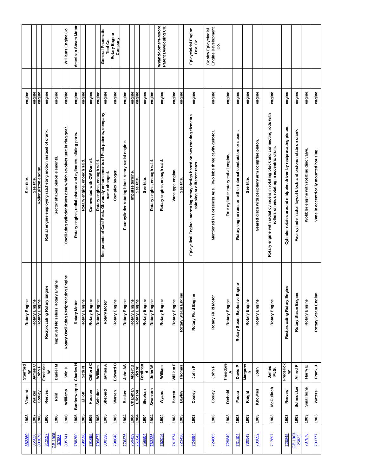| Rotary engine, enough said.<br>See patents of Caid Peck. Obviously enhancements of Peck patents, company<br>Rotary engine with radial cylinders in rotating block and connecting rods with<br>rotary design based on two rotating elements<br>midpoint driven by reciprocating piston.<br>Oscillating cylinder drives gear which revolves unit in ring gear.<br>Four cylinder radial layout block and pistons rotate on crank.<br>Radial engine employing ratcheting motion instead of crank.<br>Two lobe three cavity gerotor.<br>Rotary engine runs on either internal combustion or steam.<br>pistons and cylinders, sliding ports<br>Geared discs with periphery arm comprise piston.<br>Four cylinder rotating block rotary radial engine.<br>rollers on ends rotating in eccentric drum.<br>Wobbler engine with rotating disc valve.<br>Vane in eccentrically mounted housing<br>Four cylinder rotary radial engine.<br>shaped piston elements<br>Co-invented with CW Daniell.<br>Rotary engine, enough said.<br>engine, enough said.<br>engine, enough said.<br>ing at different rates.<br>Roller piston engine<br>ane type engine.<br>Complex booger.<br>name changed.<br>Impulse turbine.<br>See title.<br>See title.<br>See title<br>See title<br>See title<br>Mentioned in Horseless Age.<br>Rotary engine, radial<br>Rotary<br>Rotary<br>><br>Epicyclical Engine. Interesting<br>spinni<br>Cylinder rotates around<br>Sector<br>Rotary Oscillating Reciprocating Engine<br>Improved Noiseless Rotary Engine<br>Steam Explosive Engine<br>Reciprocating Rotary Engine<br>Reciprocating Rotary Engine<br>Rotary Steam Engine<br><b>Rotary Steam Engine</b><br>Rotary Steam Engine<br>Rotary Fluid Engine<br>Rotary Fluid Motor<br>Rotary Engine<br><b>Rotary Engine</b><br>Rotary Engine<br>Rotary Engine<br>Rotary Engine<br>Rotary Engine<br>Rotary Engine<br>Rotary Engine<br>Rotary Engine<br>Rotary Engine<br>Rotary Engine<br>Rotary Engine<br>Rotary Engine<br>Rotary Engine<br>Rotary Engine<br>Rotary Engine<br>Rotary Engine<br>Rotary Engine<br>Rotary Motor<br>Rotary Motor<br><b>Rotary</b><br>Charles <sub>H</sub><br>John F<br>Frederick<br>Clifford C<br>Edward C<br>Theodore<br>Frederick<br>Victor<br>Ferdinan<br>William F<br><b>Margaret</b><br><b>James C</b><br>Daniel M<br><b>Albert B</b><br><b>W udor</b><br><b>James A</b><br>John AS<br>Thomas<br>Alfred P<br>David P<br><b>William</b><br>William<br>Harry E<br>Frank J<br>Seth N<br>John F<br>John F<br>James<br>McG.<br>Win D<br>lohn<br>$\geq$<br>$\geq$<br>Ō<br>$\boldsymbol{\omega}$<br>⋖<br>¬<br>Bardenwerper<br>Schmucker<br><b>Smallbone</b><br>McCulloch<br>Chapman<br><b>Swanson</b><br>Williams<br>Shepard<br>Stephan<br>Knowles<br>Hudson<br><b>Schulter</b><br>Ericson<br>Diebold<br>Reeves<br>Reeves<br>Warren<br>Wyand<br><b>Barrett</b><br><b>Waters</b><br>Cooley<br><b>Becker</b><br>Knight<br><b>A</b> a <sub>l</sub> ea<br>Cooley<br>Cooley<br>Walker<br>Fuqua<br>Elliott<br>Reid<br>$\frac{1907}{1906}$<br>1906<br>1905<br>1904<br>1906<br>1905<br>1904<br>1904<br>1904<br>1903<br>1903<br>1906<br>1905<br>1905<br>1905<br>1904<br>1903<br>1903<br>1903<br>1903<br>1903<br>1903<br>1903<br>1903<br>1903<br>1905<br>1904<br>1903<br>1903<br>GB-1903-<br><b>9061-89</b><br>855028<br><u>791695</u><br>800330<br>759419<br>756904<br><b>762016</b><br>741574<br><b>724665</b><br>729849<br>730543<br>737876<br>788390<br>799596<br>798848<br>776376<br>751842<br>763336<br>723436<br><u>724994</u><br>731104<br><b>733052</b><br><u>720845</u><br><u>78871</u><br>812527<br>835741<br><u>733777</u><br><u>779667</u><br>07888<br>25832 | 1908<br>882360 | Vincent | <b>Stanford</b><br>$\geq$ | Rotary Engine | See title | engine |                                                   |
|------------------------------------------------------------------------------------------------------------------------------------------------------------------------------------------------------------------------------------------------------------------------------------------------------------------------------------------------------------------------------------------------------------------------------------------------------------------------------------------------------------------------------------------------------------------------------------------------------------------------------------------------------------------------------------------------------------------------------------------------------------------------------------------------------------------------------------------------------------------------------------------------------------------------------------------------------------------------------------------------------------------------------------------------------------------------------------------------------------------------------------------------------------------------------------------------------------------------------------------------------------------------------------------------------------------------------------------------------------------------------------------------------------------------------------------------------------------------------------------------------------------------------------------------------------------------------------------------------------------------------------------------------------------------------------------------------------------------------------------------------------------------------------------------------------------------------------------------------------------------------------------------------------------------------------------------------------------------------------------------------------------------------------------------------------------------------------------------------------------------------------------------------------------------------------------------------------------------------------------------------------------------------------------------------------------------------------------------------------------------------------------------------------------------------------------------------------------------------------------------------------------------------------------------------------------------------------------------------------------------------------------------------------------------------------------------------------------------------------------------------------------------------------------------------------------------------------------------------------------------------------------------------------------------------------------------------------------------------------------------------------------------------------------------------------------------------------------------------------------------------------------------------------------------------------------------------------------------------------------------------------------------------------------------------------------------------------------------------------------------------------------------------------------------------------------------------------------------------------------------------------------------------------------------------------------------------------------------------------------------------------------------|----------------|---------|---------------------------|---------------|-----------|--------|---------------------------------------------------|
|                                                                                                                                                                                                                                                                                                                                                                                                                                                                                                                                                                                                                                                                                                                                                                                                                                                                                                                                                                                                                                                                                                                                                                                                                                                                                                                                                                                                                                                                                                                                                                                                                                                                                                                                                                                                                                                                                                                                                                                                                                                                                                                                                                                                                                                                                                                                                                                                                                                                                                                                                                                                                                                                                                                                                                                                                                                                                                                                                                                                                                                                                                                                                                                                                                                                                                                                                                                                                                                                                                                                                                                                                                                |                |         |                           |               |           | engine |                                                   |
|                                                                                                                                                                                                                                                                                                                                                                                                                                                                                                                                                                                                                                                                                                                                                                                                                                                                                                                                                                                                                                                                                                                                                                                                                                                                                                                                                                                                                                                                                                                                                                                                                                                                                                                                                                                                                                                                                                                                                                                                                                                                                                                                                                                                                                                                                                                                                                                                                                                                                                                                                                                                                                                                                                                                                                                                                                                                                                                                                                                                                                                                                                                                                                                                                                                                                                                                                                                                                                                                                                                                                                                                                                                |                |         |                           |               |           | engine |                                                   |
|                                                                                                                                                                                                                                                                                                                                                                                                                                                                                                                                                                                                                                                                                                                                                                                                                                                                                                                                                                                                                                                                                                                                                                                                                                                                                                                                                                                                                                                                                                                                                                                                                                                                                                                                                                                                                                                                                                                                                                                                                                                                                                                                                                                                                                                                                                                                                                                                                                                                                                                                                                                                                                                                                                                                                                                                                                                                                                                                                                                                                                                                                                                                                                                                                                                                                                                                                                                                                                                                                                                                                                                                                                                |                |         |                           |               |           | engine |                                                   |
|                                                                                                                                                                                                                                                                                                                                                                                                                                                                                                                                                                                                                                                                                                                                                                                                                                                                                                                                                                                                                                                                                                                                                                                                                                                                                                                                                                                                                                                                                                                                                                                                                                                                                                                                                                                                                                                                                                                                                                                                                                                                                                                                                                                                                                                                                                                                                                                                                                                                                                                                                                                                                                                                                                                                                                                                                                                                                                                                                                                                                                                                                                                                                                                                                                                                                                                                                                                                                                                                                                                                                                                                                                                |                |         |                           |               |           | engine |                                                   |
|                                                                                                                                                                                                                                                                                                                                                                                                                                                                                                                                                                                                                                                                                                                                                                                                                                                                                                                                                                                                                                                                                                                                                                                                                                                                                                                                                                                                                                                                                                                                                                                                                                                                                                                                                                                                                                                                                                                                                                                                                                                                                                                                                                                                                                                                                                                                                                                                                                                                                                                                                                                                                                                                                                                                                                                                                                                                                                                                                                                                                                                                                                                                                                                                                                                                                                                                                                                                                                                                                                                                                                                                                                                |                |         |                           |               |           | engine | Williams Engine Co                                |
|                                                                                                                                                                                                                                                                                                                                                                                                                                                                                                                                                                                                                                                                                                                                                                                                                                                                                                                                                                                                                                                                                                                                                                                                                                                                                                                                                                                                                                                                                                                                                                                                                                                                                                                                                                                                                                                                                                                                                                                                                                                                                                                                                                                                                                                                                                                                                                                                                                                                                                                                                                                                                                                                                                                                                                                                                                                                                                                                                                                                                                                                                                                                                                                                                                                                                                                                                                                                                                                                                                                                                                                                                                                |                |         |                           |               |           | engine | American Steam Motor                              |
|                                                                                                                                                                                                                                                                                                                                                                                                                                                                                                                                                                                                                                                                                                                                                                                                                                                                                                                                                                                                                                                                                                                                                                                                                                                                                                                                                                                                                                                                                                                                                                                                                                                                                                                                                                                                                                                                                                                                                                                                                                                                                                                                                                                                                                                                                                                                                                                                                                                                                                                                                                                                                                                                                                                                                                                                                                                                                                                                                                                                                                                                                                                                                                                                                                                                                                                                                                                                                                                                                                                                                                                                                                                |                |         |                           |               |           | engine |                                                   |
|                                                                                                                                                                                                                                                                                                                                                                                                                                                                                                                                                                                                                                                                                                                                                                                                                                                                                                                                                                                                                                                                                                                                                                                                                                                                                                                                                                                                                                                                                                                                                                                                                                                                                                                                                                                                                                                                                                                                                                                                                                                                                                                                                                                                                                                                                                                                                                                                                                                                                                                                                                                                                                                                                                                                                                                                                                                                                                                                                                                                                                                                                                                                                                                                                                                                                                                                                                                                                                                                                                                                                                                                                                                |                |         |                           |               |           | engine |                                                   |
|                                                                                                                                                                                                                                                                                                                                                                                                                                                                                                                                                                                                                                                                                                                                                                                                                                                                                                                                                                                                                                                                                                                                                                                                                                                                                                                                                                                                                                                                                                                                                                                                                                                                                                                                                                                                                                                                                                                                                                                                                                                                                                                                                                                                                                                                                                                                                                                                                                                                                                                                                                                                                                                                                                                                                                                                                                                                                                                                                                                                                                                                                                                                                                                                                                                                                                                                                                                                                                                                                                                                                                                                                                                |                |         |                           |               |           | engine |                                                   |
|                                                                                                                                                                                                                                                                                                                                                                                                                                                                                                                                                                                                                                                                                                                                                                                                                                                                                                                                                                                                                                                                                                                                                                                                                                                                                                                                                                                                                                                                                                                                                                                                                                                                                                                                                                                                                                                                                                                                                                                                                                                                                                                                                                                                                                                                                                                                                                                                                                                                                                                                                                                                                                                                                                                                                                                                                                                                                                                                                                                                                                                                                                                                                                                                                                                                                                                                                                                                                                                                                                                                                                                                                                                |                |         |                           |               |           | engine | General Pnuematic<br>Tool Co.                     |
|                                                                                                                                                                                                                                                                                                                                                                                                                                                                                                                                                                                                                                                                                                                                                                                                                                                                                                                                                                                                                                                                                                                                                                                                                                                                                                                                                                                                                                                                                                                                                                                                                                                                                                                                                                                                                                                                                                                                                                                                                                                                                                                                                                                                                                                                                                                                                                                                                                                                                                                                                                                                                                                                                                                                                                                                                                                                                                                                                                                                                                                                                                                                                                                                                                                                                                                                                                                                                                                                                                                                                                                                                                                |                |         |                           |               |           | engine | Rotary Engine<br><u>Company</u>                   |
|                                                                                                                                                                                                                                                                                                                                                                                                                                                                                                                                                                                                                                                                                                                                                                                                                                                                                                                                                                                                                                                                                                                                                                                                                                                                                                                                                                                                                                                                                                                                                                                                                                                                                                                                                                                                                                                                                                                                                                                                                                                                                                                                                                                                                                                                                                                                                                                                                                                                                                                                                                                                                                                                                                                                                                                                                                                                                                                                                                                                                                                                                                                                                                                                                                                                                                                                                                                                                                                                                                                                                                                                                                                |                |         |                           |               |           | engine |                                                   |
|                                                                                                                                                                                                                                                                                                                                                                                                                                                                                                                                                                                                                                                                                                                                                                                                                                                                                                                                                                                                                                                                                                                                                                                                                                                                                                                                                                                                                                                                                                                                                                                                                                                                                                                                                                                                                                                                                                                                                                                                                                                                                                                                                                                                                                                                                                                                                                                                                                                                                                                                                                                                                                                                                                                                                                                                                                                                                                                                                                                                                                                                                                                                                                                                                                                                                                                                                                                                                                                                                                                                                                                                                                                |                |         |                           |               |           | engine |                                                   |
|                                                                                                                                                                                                                                                                                                                                                                                                                                                                                                                                                                                                                                                                                                                                                                                                                                                                                                                                                                                                                                                                                                                                                                                                                                                                                                                                                                                                                                                                                                                                                                                                                                                                                                                                                                                                                                                                                                                                                                                                                                                                                                                                                                                                                                                                                                                                                                                                                                                                                                                                                                                                                                                                                                                                                                                                                                                                                                                                                                                                                                                                                                                                                                                                                                                                                                                                                                                                                                                                                                                                                                                                                                                |                |         |                           |               |           | engine |                                                   |
|                                                                                                                                                                                                                                                                                                                                                                                                                                                                                                                                                                                                                                                                                                                                                                                                                                                                                                                                                                                                                                                                                                                                                                                                                                                                                                                                                                                                                                                                                                                                                                                                                                                                                                                                                                                                                                                                                                                                                                                                                                                                                                                                                                                                                                                                                                                                                                                                                                                                                                                                                                                                                                                                                                                                                                                                                                                                                                                                                                                                                                                                                                                                                                                                                                                                                                                                                                                                                                                                                                                                                                                                                                                |                |         |                           |               |           | engine |                                                   |
|                                                                                                                                                                                                                                                                                                                                                                                                                                                                                                                                                                                                                                                                                                                                                                                                                                                                                                                                                                                                                                                                                                                                                                                                                                                                                                                                                                                                                                                                                                                                                                                                                                                                                                                                                                                                                                                                                                                                                                                                                                                                                                                                                                                                                                                                                                                                                                                                                                                                                                                                                                                                                                                                                                                                                                                                                                                                                                                                                                                                                                                                                                                                                                                                                                                                                                                                                                                                                                                                                                                                                                                                                                                |                |         |                           |               |           | engine | Wyand-Somers-Moore                                |
|                                                                                                                                                                                                                                                                                                                                                                                                                                                                                                                                                                                                                                                                                                                                                                                                                                                                                                                                                                                                                                                                                                                                                                                                                                                                                                                                                                                                                                                                                                                                                                                                                                                                                                                                                                                                                                                                                                                                                                                                                                                                                                                                                                                                                                                                                                                                                                                                                                                                                                                                                                                                                                                                                                                                                                                                                                                                                                                                                                                                                                                                                                                                                                                                                                                                                                                                                                                                                                                                                                                                                                                                                                                |                |         |                           |               |           | engine | Patent Developing Co.                             |
|                                                                                                                                                                                                                                                                                                                                                                                                                                                                                                                                                                                                                                                                                                                                                                                                                                                                                                                                                                                                                                                                                                                                                                                                                                                                                                                                                                                                                                                                                                                                                                                                                                                                                                                                                                                                                                                                                                                                                                                                                                                                                                                                                                                                                                                                                                                                                                                                                                                                                                                                                                                                                                                                                                                                                                                                                                                                                                                                                                                                                                                                                                                                                                                                                                                                                                                                                                                                                                                                                                                                                                                                                                                |                |         |                           |               |           | engine |                                                   |
|                                                                                                                                                                                                                                                                                                                                                                                                                                                                                                                                                                                                                                                                                                                                                                                                                                                                                                                                                                                                                                                                                                                                                                                                                                                                                                                                                                                                                                                                                                                                                                                                                                                                                                                                                                                                                                                                                                                                                                                                                                                                                                                                                                                                                                                                                                                                                                                                                                                                                                                                                                                                                                                                                                                                                                                                                                                                                                                                                                                                                                                                                                                                                                                                                                                                                                                                                                                                                                                                                                                                                                                                                                                |                |         |                           |               |           | engine |                                                   |
|                                                                                                                                                                                                                                                                                                                                                                                                                                                                                                                                                                                                                                                                                                                                                                                                                                                                                                                                                                                                                                                                                                                                                                                                                                                                                                                                                                                                                                                                                                                                                                                                                                                                                                                                                                                                                                                                                                                                                                                                                                                                                                                                                                                                                                                                                                                                                                                                                                                                                                                                                                                                                                                                                                                                                                                                                                                                                                                                                                                                                                                                                                                                                                                                                                                                                                                                                                                                                                                                                                                                                                                                                                                |                |         |                           |               |           | engine | Epicycloidal Engine<br>Dev. Co.                   |
|                                                                                                                                                                                                                                                                                                                                                                                                                                                                                                                                                                                                                                                                                                                                                                                                                                                                                                                                                                                                                                                                                                                                                                                                                                                                                                                                                                                                                                                                                                                                                                                                                                                                                                                                                                                                                                                                                                                                                                                                                                                                                                                                                                                                                                                                                                                                                                                                                                                                                                                                                                                                                                                                                                                                                                                                                                                                                                                                                                                                                                                                                                                                                                                                                                                                                                                                                                                                                                                                                                                                                                                                                                                |                |         |                           |               |           | engine | Engine Development<br>Cooley Epicyclodial<br>ပ္ပိ |
|                                                                                                                                                                                                                                                                                                                                                                                                                                                                                                                                                                                                                                                                                                                                                                                                                                                                                                                                                                                                                                                                                                                                                                                                                                                                                                                                                                                                                                                                                                                                                                                                                                                                                                                                                                                                                                                                                                                                                                                                                                                                                                                                                                                                                                                                                                                                                                                                                                                                                                                                                                                                                                                                                                                                                                                                                                                                                                                                                                                                                                                                                                                                                                                                                                                                                                                                                                                                                                                                                                                                                                                                                                                |                |         |                           |               |           | engine |                                                   |
|                                                                                                                                                                                                                                                                                                                                                                                                                                                                                                                                                                                                                                                                                                                                                                                                                                                                                                                                                                                                                                                                                                                                                                                                                                                                                                                                                                                                                                                                                                                                                                                                                                                                                                                                                                                                                                                                                                                                                                                                                                                                                                                                                                                                                                                                                                                                                                                                                                                                                                                                                                                                                                                                                                                                                                                                                                                                                                                                                                                                                                                                                                                                                                                                                                                                                                                                                                                                                                                                                                                                                                                                                                                |                |         |                           |               |           | engine |                                                   |
|                                                                                                                                                                                                                                                                                                                                                                                                                                                                                                                                                                                                                                                                                                                                                                                                                                                                                                                                                                                                                                                                                                                                                                                                                                                                                                                                                                                                                                                                                                                                                                                                                                                                                                                                                                                                                                                                                                                                                                                                                                                                                                                                                                                                                                                                                                                                                                                                                                                                                                                                                                                                                                                                                                                                                                                                                                                                                                                                                                                                                                                                                                                                                                                                                                                                                                                                                                                                                                                                                                                                                                                                                                                |                |         |                           |               |           | engine |                                                   |
|                                                                                                                                                                                                                                                                                                                                                                                                                                                                                                                                                                                                                                                                                                                                                                                                                                                                                                                                                                                                                                                                                                                                                                                                                                                                                                                                                                                                                                                                                                                                                                                                                                                                                                                                                                                                                                                                                                                                                                                                                                                                                                                                                                                                                                                                                                                                                                                                                                                                                                                                                                                                                                                                                                                                                                                                                                                                                                                                                                                                                                                                                                                                                                                                                                                                                                                                                                                                                                                                                                                                                                                                                                                |                |         |                           |               |           | engine |                                                   |
|                                                                                                                                                                                                                                                                                                                                                                                                                                                                                                                                                                                                                                                                                                                                                                                                                                                                                                                                                                                                                                                                                                                                                                                                                                                                                                                                                                                                                                                                                                                                                                                                                                                                                                                                                                                                                                                                                                                                                                                                                                                                                                                                                                                                                                                                                                                                                                                                                                                                                                                                                                                                                                                                                                                                                                                                                                                                                                                                                                                                                                                                                                                                                                                                                                                                                                                                                                                                                                                                                                                                                                                                                                                |                |         |                           |               |           | engine |                                                   |
|                                                                                                                                                                                                                                                                                                                                                                                                                                                                                                                                                                                                                                                                                                                                                                                                                                                                                                                                                                                                                                                                                                                                                                                                                                                                                                                                                                                                                                                                                                                                                                                                                                                                                                                                                                                                                                                                                                                                                                                                                                                                                                                                                                                                                                                                                                                                                                                                                                                                                                                                                                                                                                                                                                                                                                                                                                                                                                                                                                                                                                                                                                                                                                                                                                                                                                                                                                                                                                                                                                                                                                                                                                                |                |         |                           |               |           | engine |                                                   |
|                                                                                                                                                                                                                                                                                                                                                                                                                                                                                                                                                                                                                                                                                                                                                                                                                                                                                                                                                                                                                                                                                                                                                                                                                                                                                                                                                                                                                                                                                                                                                                                                                                                                                                                                                                                                                                                                                                                                                                                                                                                                                                                                                                                                                                                                                                                                                                                                                                                                                                                                                                                                                                                                                                                                                                                                                                                                                                                                                                                                                                                                                                                                                                                                                                                                                                                                                                                                                                                                                                                                                                                                                                                |                |         |                           |               |           | engine |                                                   |
|                                                                                                                                                                                                                                                                                                                                                                                                                                                                                                                                                                                                                                                                                                                                                                                                                                                                                                                                                                                                                                                                                                                                                                                                                                                                                                                                                                                                                                                                                                                                                                                                                                                                                                                                                                                                                                                                                                                                                                                                                                                                                                                                                                                                                                                                                                                                                                                                                                                                                                                                                                                                                                                                                                                                                                                                                                                                                                                                                                                                                                                                                                                                                                                                                                                                                                                                                                                                                                                                                                                                                                                                                                                |                |         |                           |               |           | engine |                                                   |
|                                                                                                                                                                                                                                                                                                                                                                                                                                                                                                                                                                                                                                                                                                                                                                                                                                                                                                                                                                                                                                                                                                                                                                                                                                                                                                                                                                                                                                                                                                                                                                                                                                                                                                                                                                                                                                                                                                                                                                                                                                                                                                                                                                                                                                                                                                                                                                                                                                                                                                                                                                                                                                                                                                                                                                                                                                                                                                                                                                                                                                                                                                                                                                                                                                                                                                                                                                                                                                                                                                                                                                                                                                                |                |         |                           |               |           | engine |                                                   |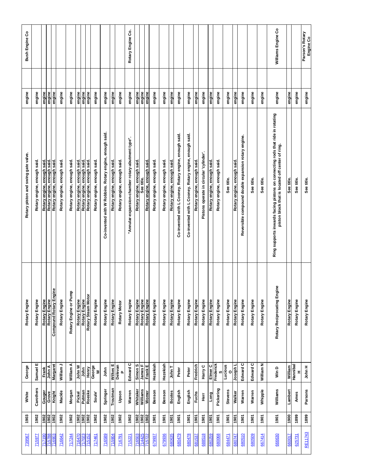| 1903<br><b>739567</b>                                           | White           | George                         | Rotary Engine                                | Rotary piston and swing gate valve                                                                                                       | engine           | ပိ<br><b>Bush Engine</b>     |
|-----------------------------------------------------------------|-----------------|--------------------------------|----------------------------------------------|------------------------------------------------------------------------------------------------------------------------------------------|------------------|------------------------------|
| 1902                                                            | Carothers       | Samuel E                       | Rotary Engine                                | Rotary engine, enough said.                                                                                                              | engine           |                              |
|                                                                 | Gouger          | Frank                          | <b>Rotary Engine</b><br><b>Rotary Engine</b> | Rotary engine, enough said.                                                                                                              | engine           |                              |
| $\begin{array}{c c}\n\hline\n1902 \\ \hline\n1902\n\end{array}$ | Knight<br>Grove | John A<br>Margaret             | <b>Compound Rotary Engine</b>                | Rotary engine, enough said.<br>enough said.<br>Rotary engine,                                                                            | engine<br>engine |                              |
| 1902                                                            | Mackle          | William J                      | Rotary Engine                                | Rotary engine, enough said.                                                                                                              | engine           |                              |
| 1902                                                            | Morgan          | William A                      | Rotary Engine or Pump                        | Rotary engine, enough said                                                                                                               | engine           |                              |
|                                                                 | Pickel          | <b>W udol</b>                  | <b>Rotary Engine</b>                         | Rotary engine, enough said                                                                                                               | engine           |                              |
| $\frac{8}{2}$ $\frac{8}{2}$ $\frac{8}{2}$                       | Putman          | John<br>Henry                  | <b>Rotary Engine</b>                         | Rotary engine, enough said.                                                                                                              | engine           |                              |
|                                                                 | Roeske          |                                | <b>Rotary Steam Motor</b>                    | Rotary engine, enough said.                                                                                                              | engine           |                              |
| 1902                                                            | Soule'          | George<br>ξ                    | Rotary Engine                                | Rotary engine, enough said.                                                                                                              | engine           |                              |
| 1902                                                            | Springer        | John                           | Rotary Engine                                | Co-invented with W Robbins. Rotary engine, enough said                                                                                   | engine           |                              |
| 1902                                                            | Troutman        | Wilkes E<br>Delevan            | Rotary Engine                                | Rotary engine, enough said.                                                                                                              | engine           |                              |
| 1902                                                            | Upson           | o,                             | Rotary Motor                                 | Rotary engine, enough said.                                                                                                              | engine           |                              |
| 1902                                                            | Warren          | Edward C                       | Rotary Engine                                | "Annular-expansion-chamber rotary-abutment type"                                                                                         | engine           | Rotary Engine Co.            |
| $\frac{1902}{1902}$                                             | Whitaker        | Simon <sub>S</sub>             | Rotary Engine                                | Rotary engine, enough said                                                                                                               | engine           |                              |
|                                                                 | Williams        | James F                        | Rotary Engine                                | See title                                                                                                                                | engine           |                              |
| 1902                                                            | Womer           | Frank E                        | Rotary Engine                                | Rotary engine, enough said.                                                                                                              | engine           |                              |
| 1901                                                            | Benson          | Hezekiah                       | Rotary Engine                                | Rotary engine, enough said.                                                                                                              | engine           |                              |
| 1901                                                            | Benson          | Hezekiah                       | Engine<br>Rotary                             | Rotary engine, enough said.                                                                                                              | engine           |                              |
| 1901                                                            | <b>Bootes</b>   | John T                         | Rotary Engine                                | Rotary engine, enough said                                                                                                               | engine           |                              |
| 1901                                                            | English         | Peter                          | Rotary Engine                                | Co-invented with L Cooney. Rotary engine, enough said                                                                                    | engine           |                              |
| 1901                                                            | English         | Peter                          | Rotary Engine                                | enough said.<br>Co-invented with L Cooney. Rotary engine,                                                                                | engine           |                              |
| 1901                                                            | <b>Fuchs</b>    | <b>Fredrich</b>                | Rotary Engine                                | Rotary engine, enough said                                                                                                               | engine           |                              |
| 1901                                                            | Herr            | Harry C                        | Rotary Engine                                | ate in circular 'cylinder'.<br>Pistons oper                                                                                              | engine           |                              |
| $\frac{1901}{1}$                                                | Long            | Elmer C                        | Rotary Engine                                | Rotary engine, enough said                                                                                                               | engine           |                              |
| 1901                                                            | Pickering       | Frederick                      | Rotary Engine                                | Rotary engine, enough said.                                                                                                              | engine           |                              |
| 1901                                                            | Stevens         | $\frac{S}{Lucious}$<br>$\circ$ | Rotary Engine                                | See title                                                                                                                                | engine           |                              |
| 1901                                                            | <b>Walker</b>   | Joseph L                       | Rotary Engine                                | Rotary engine, enough said                                                                                                               | engine           |                              |
| 1901                                                            | Warren          | Edward C                       | Rotary Engine                                | engine.<br>double expansion rotary<br>Reversible compound                                                                                | engine           |                              |
| 1901                                                            | Warren          | <b>Dall</b><br>Edwa            | Rotary Engine                                | See title                                                                                                                                | engine           |                              |
| 1901                                                            | Whipple         | William N                      | Rotary Engine                                | See title                                                                                                                                | engine           |                              |
| 1901                                                            | Williams        | $\Omega$<br>jin                | Rotary Reciprocating Engine                  | tons on connecting rods that ride in rotating<br>is located off center of ring.<br>Ring supports inwards facing pis<br>piston block that | engine           | Williams Engine Co           |
| 1900                                                            | Lambert         | William<br>Hannibal            | Rotary Engine                                | See title                                                                                                                                | engine           |                              |
| 1899                                                            | Ames            | I.                             | Rotary Engine                                | See title.                                                                                                                               | engine           |                              |
| 1899                                                            | Parsons         | John H                         | Rotary Engine                                | See title                                                                                                                                | engine           | Parson's Rotary<br>Engine Co |
|                                                                 |                 |                                |                                              |                                                                                                                                          |                  |                              |